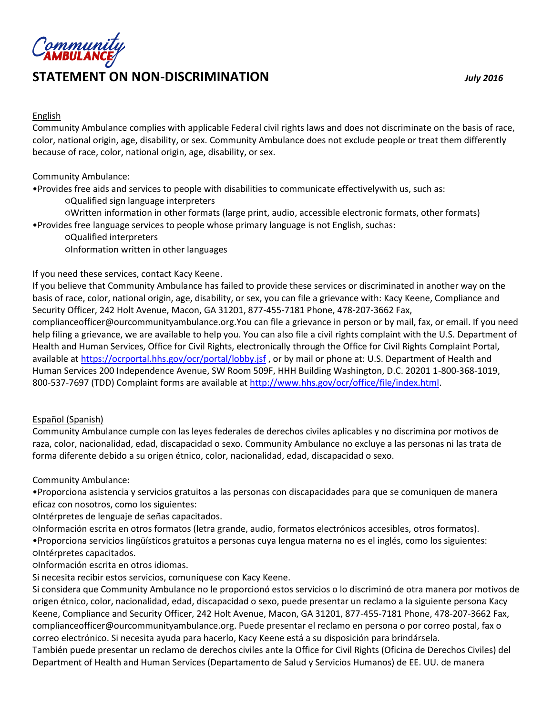

#### English

Community Ambulance complies with applicable Federal civil rights laws and does not discriminate on the basis of race, color, national origin, age, disability, or sex. Community Ambulance does not exclude people or treat them differently because of race, color, national origin, age, disability, or sex.

Community Ambulance:

•Provides free aids and services to people with disabilities to communicate effectivelywith us, such as:

○Qualified sign language interpreters

○Written information in other formats (large print, audio, accessible electronic formats, other formats) •Provides free language services to people whose primary language is not English, suchas:

○Qualified interpreters ○Information written in other languages

#### If you need these services, contact Kacy Keene.

If you believe that Community Ambulance has failed to provide these services or discriminated in another way on the basis of race, color, national origin, age, disability, or sex, you can file a grievance with: Kacy Keene, Compliance and Security Officer, 242 Holt Avenue, Macon, GA 31201, 877-455-7181 Phone, 478-207-3662 Fax, complianceofficer@ourcommunityambulance.org.You can file a grievance in person or by mail, fax, or email. If you need help filing a grievance, we are available to help you. You can also file a civil rights complaint with the U.S. Department of Health and Human Services, Office for Civil Rights, electronically through the Office for Civil Rights Complaint Portal, available a[t https://ocrportal.hhs.gov/ocr/portal/lobby.jsf](https://ocrportal.hhs.gov/ocr/portal/lobby.jsf), or by mail or phone at: U.S. Department of Health and Human Services 200 Independence Avenue, SW Room 509F, HHH Building Washington, D.C. 20201 1-800-368-1019, 800-537-7697 (TDD) Complaint forms are available a[t http://www.hhs.gov/ocr/office/file/index.html.](http://www.hhs.gov/ocr/office/file/index.html)

#### Español (Spanish)

Community Ambulance cumple con las leyes federales de derechos civiles aplicables y no discrimina por motivos de raza, color, nacionalidad, edad, discapacidad o sexo. Community Ambulance no excluye a las personas ni las trata de forma diferente debido a su origen étnico, color, nacionalidad, edad, discapacidad o sexo.

Community Ambulance:

•Proporciona asistencia y servicios gratuitos a las personas con discapacidades para que se comuniquen de manera eficaz con nosotros, como los siguientes:

○Intérpretes de lenguaje de señas capacitados.

○Información escrita en otros formatos (letra grande, audio, formatos electrónicos accesibles, otros formatos). •Proporciona servicios lingüísticos gratuitos a personas cuya lengua materna no es el inglés, como los siguientes: ○Intérpretes capacitados.

○Información escrita en otros idiomas.

Si necesita recibir estos servicios, comuníquese con Kacy Keene.

Si considera que Community Ambulance no le proporcionó estos servicios o lo discriminó de otra manera por motivos de origen étnico, color, nacionalidad, edad, discapacidad o sexo, puede presentar un reclamo a la siguiente persona Kacy Keene, Compliance and Security Officer, 242 Holt Avenue, Macon, GA 31201, 877-455-7181 Phone, 478-207-3662 Fax, complianceofficer@ourcommunityambulance.org. Puede presentar el reclamo en persona o por correo postal, fax o correo electrónico. Si necesita ayuda para hacerlo, Kacy Keene está a su disposición para brindársela.

También puede presentar un reclamo de derechos civiles ante la Office for Civil Rights (Oficina de Derechos Civiles) del Department of Health and Human Services (Departamento de Salud y Servicios Humanos) de EE. UU. de manera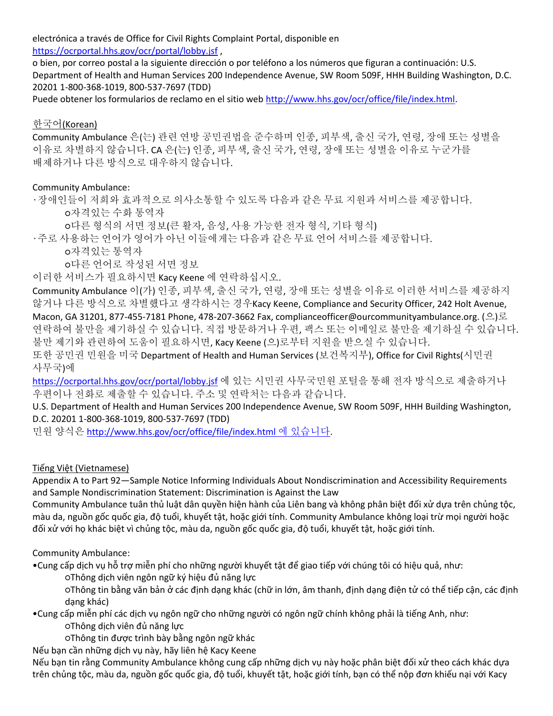electrónica a través de Office for Civil Rights Complaint Portal, disponible en <https://ocrportal.hhs.gov/ocr/portal/lobby.jsf> ,

o bien, por correo postal a la siguiente dirección o por teléfono a los números que figuran a continuación: U.S. Department of Health and Human Services 200 Independence Avenue, SW Room 509F, HHH Building Washington, D.C. 20201 1-800-368-1019, 800-537-7697 (TDD)

Puede obtener los formularios de reclamo en el sitio web [http://www.hhs.gov/ocr/office/file/index.html.](http://www.hhs.gov/ocr/office/file/index.html)

### 한국어(Korean)

Community Ambulance 은(는) 관련 연방 공민권법을 준수하며 인종, 피부색, 출신 국가, 연령, 장애 또는 성별을 이유로 차별하지 않습니다. CA 은(는) 인종, 피부색, 출신 국가, 연령, 장애 또는 성별을 이유로 누군가를 배제하거나 다른 방식으로 대우하지 않습니다.

#### Community Ambulance:

•장애인들이 저희와 효과적으로 의사소통할 수 있도록 다음과 같은 무료 지원과 서비스를 제공합니다. ○자격있는 수화 통역자

○다른 형식의 서면 정보(큰 활자, 음성, 사용 가능한 전자 형식, 기타 형식)

•주로 사용하는 언어가 영어가 아닌 이들에게는 다음과 같은 무료 언어 서비스를 제공합니다.

○자격있는 통역자

○다른 언어로 작성된 서면 정보

이러한 서비스가 필요하시면 Kacy Keene 에 연락하십시오.

Community Ambulance 이(가) 인종, 피부색, 출신 국가, 연령, 장애 또는 성별을 이유로 이러한 서비스를 제공하지 않거나 다른 방식으로 차별했다고 생각하시는 경우Kacy Keene, Compliance and Security Officer, 242 Holt Avenue, Macon, GA 31201, 877-455-7181 Phone, 478-207-3662 Fax, complianceofficer@ourcommunityambulance.org. (으)로 연락하여 불만을 제기하실 수 있습니다. 직접 방문하거나 우편, 팩스 또는 이메일로 불만을 제기하실 수 있습니다. 불만 제기와 관련하여 도움이 필요하시면, Kacy Keene (으)로부터 지원을 받으실 수 있습니다.

또한 공민권 민원을 미국 Department of Health and Human Services (보건복지부), Office for Civil Rights(시민권 사무국)에

<https://ocrportal.hhs.gov/ocr/portal/lobby.jsf> 에 있는 시민권 사무국민원 포털을 통해 전자 방식으로 제출하거나 우편이나 전화로 제출할 수 있습니다. 주소 및 연락처는 다음과 같습니다.

U.S. Department of Health and Human Services 200 Independence Avenue, SW Room 509F, HHH Building Washington, D.C. 20201 1-800-368-1019, 800-537-7697 (TDD)

민원 양식은 [http://www.hhs.gov/ocr/office/file/index.html](http://www.hhs.gov/ocr/office/file/index.html%20에%20있습니다) 에 있습니다.

Tiếng Việt (Vietnamese)

Appendix A to Part 92—Sample Notice Informing Individuals About Nondiscrimination and Accessibility Requirements and Sample Nondiscrimination Statement: Discrimination is Against the Law

Community Ambulance tuân thủ luật dân quyền hiện hành của Liên bang và không phân biệt đối xử dựa trên chủng tộc, màu da, nguồn gốc quốc gia, độ tuổi, khuyết tật, hoặc giới tính. Community Ambulance không loại trừ mọi người hoặc đối xử với họ khác biệt vì chủng tộc, màu da, nguồn gốc quốc gia, độ tuổi, khuyết tật, hoặc giới tính.

Community Ambulance:

•Cung cấp dịch vụ hỗ trợ miễn phí cho những người khuyết tật để giao tiếp với chúng tôi có hiệu quả, như:

○Thông dịch viên ngôn ngữ ký hiệu đủ năng lực

○Thông tin bằng văn bản ở các định dạng khác (chữ in lớn, âm thanh, định dạng điện tử có thể tiếp cận, các định dạng khác)

•Cung cấp miễn phí các dịch vụ ngôn ngữ cho những người có ngôn ngữ chính không phải là tiếng Anh, như: ○Thông dịch viên đủ năng lực

○Thông tin được trình bày bằng ngôn ngữ khác

Nếu bạn cần những dịch vụ này, hãy liên hệ Kacy Keene

Nếu bạn tin rằng Community Ambulance không cung cấp những dịch vụ này hoặc phân biệt đối xử theo cách khác dựa trên chủng tộc, màu da, nguồn gốc quốc gia, độ tuổi, khuyết tật, hoặc giới tính, bạn có thể nộp đơn khiếu nại với Kacy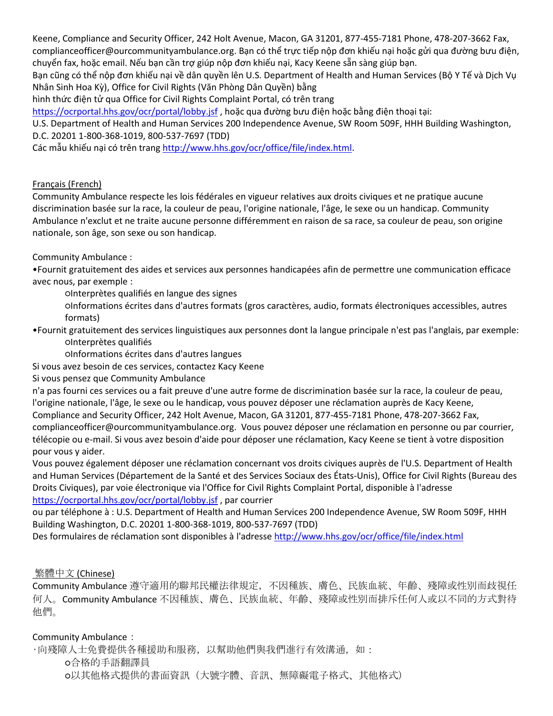Keene, Compliance and Security Officer, 242 Holt Avenue, Macon, GA 31201, 877-455-7181 Phone, 478-207-3662 Fax, complianceofficer@ourcommunityambulance.org. Bạn có thể trực tiếp nộp đơn khiếu nại hoặc gửi qua đường bưu điện, chuyển fax, hoặc email. Nếu bạn cần trợ giúp nộp đơn khiếu nại, Kacy Keene sẵn sàng giúp bạn.

Bạn cũng có thể nộp đơn khiếu nại về dân quyền lên U.S. Department of Health and Human Services (Bộ Y Tế và Dịch Vụ Nhân Sinh Hoa Kỳ), Office for Civil Rights (Văn Phòng Dân Quyền) bằng

hình thức điện tử qua Office for Civil Rights Complaint Portal, có trên trang

<https://ocrportal.hhs.gov/ocr/portal/lobby.jsf> , hoặc qua đường bưu điện hoặc bằng điện thoại tại:

U.S. Department of Health and Human Services 200 Independence Avenue, SW Room 509F, HHH Building Washington, D.C. 20201 1-800-368-1019, 800-537-7697 (TDD)

Các mẫu khiếu nại có trên trang [http://www.hhs.gov/ocr/office/file/index.html.](http://www.hhs.gov/ocr/office/file/index.html)

#### [Français](http://www.hhs.gov/sites/default/files/sample-ce-notice-french.pdf) (French)

Community Ambulance respecte les lois fédérales en vigueur relatives aux droits civiques et ne pratique aucune discrimination basée sur la race, la couleur de peau, l'origine nationale, l'âge, le sexe ou un handicap. Community Ambulance n'exclut et ne traite aucune personne différemment en raison de sa race, sa couleur de peau, son origine nationale, son âge, son sexe ou son handicap.

Community Ambulance :

•Fournit gratuitement des aides et services aux personnes handicapées afin de permettre une communication efficace avec nous, par exemple :

○Interprètes qualifiés en langue des signes

○Informations écrites dans d'autres formats (gros caractères, audio, formats électroniques accessibles, autres formats)

•Fournit gratuitement des services linguistiques aux personnes dont la langue principale n'est pas l'anglais, par exemple: ○Interprètes qualifiés

○Informations écrites dans d'autres langues

Si vous avez besoin de ces services, contactez Kacy Keene

Si vous pensez que Community Ambulance

n'a pas fourni ces services ou a fait preuve d'une autre forme de discrimination basée sur la race, la couleur de peau, l'origine nationale, l'âge, le sexe ou le handicap, vous pouvez déposer une réclamation auprès de Kacy Keene,

Compliance and Security Officer, 242 Holt Avenue, Macon, GA 31201, 877-455-7181 Phone, 478-207-3662 Fax, complianceofficer@ourcommunityambulance.org. Vous pouvez déposer une réclamation en personne ou par courrier, télécopie ou e-mail. Si vous avez besoin d'aide pour déposer une réclamation, Kacy Keene se tient à votre disposition pour vous y aider.

Vous pouvez également déposer une réclamation concernant vos droits civiques auprès de l'U.S. Department of Health and Human Services (Département de la Santé et des Services Sociaux des États-Unis), Office for Civil Rights (Bureau des Droits Civiques), par voie électronique via l'Office for Civil Rights Complaint Portal, disponible à l'adresse <https://ocrportal.hhs.gov/ocr/portal/lobby.jsf> , par courrier

ou par téléphone à : U.S. Department of Health and Human Services 200 Independence Avenue, SW Room 509F, HHH Building Washington, D.C. 20201 1-800-368-1019, 800-537-7697 (TDD)

Des formulaires de réclamation sont disponibles à l'adress[e http://www.hhs.gov/ocr/office/file/index.html](http://www.hhs.gov/ocr/office/file/index.html)

### [繁體中文](http://www.hhs.gov/sites/default/files/sample-ce-notice-chinese-trd.pdf) (Chinese)

Community Ambulance 遵守適用的聯邦民權法律規定,不因種族、膚色、民族血統、年齡、殘障或性別而歧視任 何人。Community Ambulance 不因種族、膚色、民族血統、年齡、殘障或性別而排斥任何人或以不同的方式對待 他們。

Community Ambulance:

•向殘障人士免費提供各種援助和服務,以幫助他們與我們進行有效溝通,如:

○合格的手語翻譯員 ○以其他格式提供的書面資訊(大號字體、音訊、無障礙電子格式、其他格式)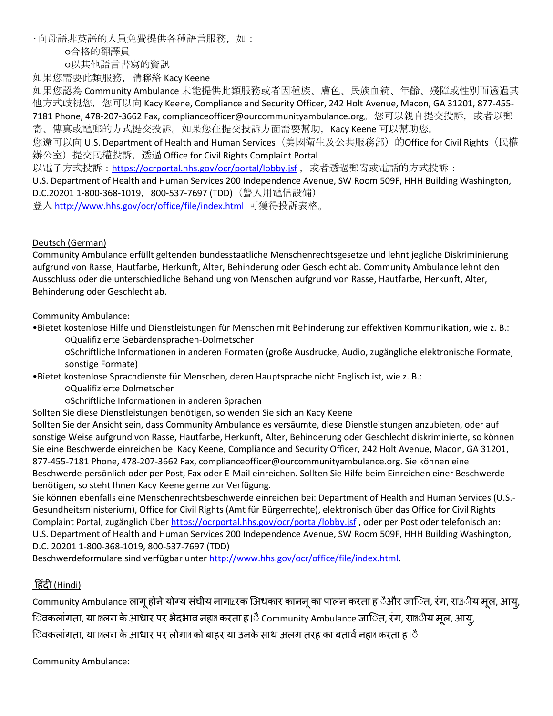•向母語非英語的人員免費提供各種語言服務,如:

○合格的翻譯員

○以其他語言書寫的資訊

如果您需要此類服務,請聯絡 Kacy Keene

如果您認為 Community Ambulance 未能提供此類服務或者因種族、膚色、民族血統、年齡、殘障或性別而透過其 他方式歧視您,您可以向 Kacy Keene, Compliance and Security Officer, 242 Holt Avenue, Macon, GA 31201, 877-455-7181 Phone, 478-207-3662 Fax, complianceofficer@ourcommunityambulance.org。您可以親自提交投訴,或者以郵 寄、傳真或電郵的方式提交投訴。如果您在提交投訴方面需要幫助,Kacy Keene 可以幫助您。

您還可以向 U.S. Department of Health and Human Services(美國衛生及公共服務部)的Office for Civil Rights(民權 辦公室)提交民權投訴,透過 Office for Civil Rights Complaint Portal

以電子方式投訴:<https://ocrportal.hhs.gov/ocr/portal/lobby.jsf> , 或者透過郵寄或電話的方式投訴:

U.S. Department of Health and Human Services 200 Independence Avenue, SW Room 509F, HHH Building Washington, D.C.20201 1-800-368-1019, 800-537-7697 (TDD) (聾人用電信設備)

登入 <http://www.hhs.gov/ocr/office/file/index.html>可獲得投訴表格。

#### Deutsch (German)

Community Ambulance erfüllt geltenden bundesstaatliche Menschenrechtsgesetze und lehnt jegliche Diskriminierung aufgrund von Rasse, Hautfarbe, Herkunft, Alter, Behinderung oder Geschlecht ab. Community Ambulance lehnt den Ausschluss oder die unterschiedliche Behandlung von Menschen aufgrund von Rasse, Hautfarbe, Herkunft, Alter, Behinderung oder Geschlecht ab.

Community Ambulance:

•Bietet kostenlose Hilfe und Dienstleistungen für Menschen mit Behinderung zur effektiven Kommunikation, wie z. B.: ○Qualifizierte Gebärdensprachen-Dolmetscher

○Schriftliche Informationen in anderen Formaten (große Ausdrucke, Audio, zugängliche elektronische Formate, sonstige Formate)

•Bietet kostenlose Sprachdienste für Menschen, deren Hauptsprache nicht Englisch ist, wie z. B.:

○Qualifizierte Dolmetscher

○Schriftliche Informationen in anderen Sprachen

Sollten Sie diese Dienstleistungen benötigen, so wenden Sie sich an Kacy Keene

Sollten Sie der Ansicht sein, dass Community Ambulance es versäumte, diese Dienstleistungen anzubieten, oder auf sonstige Weise aufgrund von Rasse, Hautfarbe, Herkunft, Alter, Behinderung oder Geschlecht diskriminierte, so können Sie eine Beschwerde einreichen bei Kacy Keene, Compliance and Security Officer, 242 Holt Avenue, Macon, GA 31201, 877-455-7181 Phone, 478-207-3662 Fax, complianceofficer@ourcommunityambulance.org. Sie können eine Beschwerde persönlich oder per Post, Fax oder E-Mail einreichen. Sollten Sie Hilfe beim Einreichen einer Beschwerde benötigen, so steht Ihnen Kacy Keene gerne zur Verfügung.

Sie können ebenfalls eine Menschenrechtsbeschwerde einreichen bei: Department of Health and Human Services (U.S.- Gesundheitsministerium), Office for Civil Rights (Amt für Bürgerrechte), elektronisch über das Office for Civil Rights Complaint Portal, zugänglich über<https://ocrportal.hhs.gov/ocr/portal/lobby.jsf>, oder per Post oder telefonisch an: U.S. Department of Health and Human Services 200 Independence Avenue, SW Room 509F, HHH Building Washington, D.C. 20201 1-800-368-1019, 800-537-7697 (TDD)

Beschwerdeformulare sind verfügbar unte[r http://www.hhs.gov/ocr/office/file/index.html.](http://www.hhs.gov/ocr/office/file/index.html)

## ह िंदी (Hindi)

Community Ambulance लागू होने योग्य संघीय नाग¤रक अिधकार क़ाननू का पालन करता ह ैऔर जाित, रंग, रा¤ीय मूल, आयु, िवकलांगता, या @लग के आधार पर भेदभाव नहल करता ह।ै Community Ambulance जालित, रंग, रा@ीय मूल, आयु, िवकलांगता, या ¤लग के आधार पर लोग¤ को बाहर या उनके साथ अलग तरह का बतार्व नह¤ करता ह।ै

Community Ambulance: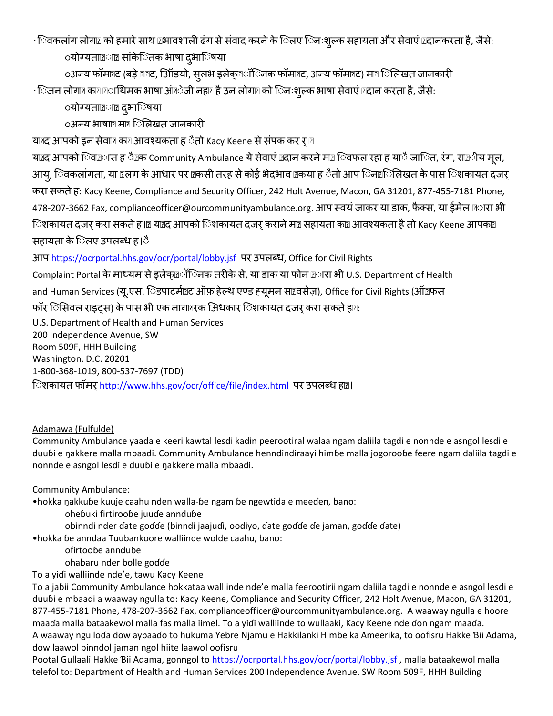•िवकलांग लोग@ को हमारे साथ @भावशाली ढंग से संवाद करने के िलए िनःशल्क सहायता और सेवाएं @दानकरता है, जैसे: ंयोग्यता®ा® सांकेितक भाषा दुभाॅिषया

୦अन्य फॉम¤ट (बड़े ख़र, ऑिडयो, सूलभ इलेक्™ॉिनक फॉम™ट, अन्य फॉम™ट) म™ िलिखत जानकारी

•िजन लोगा का छा थिमक भाषा आं ेज़ी नहा है उन लोगा को िनःश्ल्क भाषा सेवाएं एदान करता है, जैसे:

ंयोग्यता@ा@ दुभािषया

**ुअन्य भाषा** मात्र िलिखत जानकारी

य¤द आपको इन सेवा¤ क¤ आवश्यकता ह ैतो Kacy Keene से संपक कर र ¤

य¤द आपको िवखास ह ै क Community Ambulance ये सेवाएं ख़दान करने म¤ िवफल रहा ह याै जालित, रंग, राख़ीय मूल, आयु, िवकलांगता, या @लग के आधार पर @कसी तरह से कोई भेदभाव @कया ह ैतो आप िन@िलिखत के पास िशकायत दजर् करा सकते ह: Kacy Keene, Compliance and Security Officer, 242 Holt Avenue, Macon, GA 31201, 877-455-7181 Phone, 478-207-3662 Fax, complianceofficer@ourcommunityambulance.org. आप स्वयं जाकर या डाक, फैक्स, या ईमेल @ारा भी िशकायत दजर करा सकते हूं । या याद आपको िशकायत दजर कराने मा सहायता का आवश्यकता है तो Kacy Keene आपका सहायता के िलए उपलब्ध ह।ै

आप <https://ocrportal.hhs.gov/ocr/portal/lobby.jsf>पर उपलब्ध, Office for Civil Rights

Complaint Portal के माध्यम से इलेक्ट्रॉिनक तरीके से, या डाक या फोन ट्रारा भी U.S. Department of Health and Human Services (यू.एस. िडपाटर्माट ऑफ़ हेल्थ एण्ड ह्यूमन साथवसेज़), Office for Civil Rights (ऑएफस फॉर िसिवल राइट्स) के पास भी एक नाग¤रक अिधकार िशकायत दजर करा सकते ह¤:

U.S. Department of Health and Human Services 200 Independence Avenue, SW Room 509F, HHH Building Washington, D.C. 20201 1-800-368-1019, 800-537-7697 (TDD) िशकायत फॉमर् <http://www.hhs.gov/ocr/office/file/index.html>पर उपलब्ध हृः।

# Adamawa (Fulfulde)

Community Ambulance yaada e keeri kawtal lesdi kadin peerootiral walaa ngam daliila tagdi e nonnde e asngol lesdi e duuɓi e ŋakkere malla mbaadi. Community Ambulance henndindiraayi himɓe malla jogorooɓe feere ngam daliila tagdi e nonnde e asngol lesdi e duuɓi e ŋakkere malla mbaadi.

Community Ambulance:

•hokka ŋakkuɓe kuuje caahu nden walla-ɓe ngam ɓe ngewtida e meeɗen, bano:

- oheɓuki firtirooɓe juuɗe annduɓe
- obinndi nder ɗate goɗɗe (binndi jaajuɗi, oodiyo, ɗate goɗɗe ɗe jaman, goɗɗe ɗate)

•hokka ɓe anndaa Tuubankoore walliinde wolde caahu, bano:

ofirtooɓe annduɓe

ohabaru nder bolle goɗɗe

To a yiɗi walliinde nde'e, tawu Kacy Keene

To a jaɓii Community Ambulance hokkataa walliinde nde'e malla feerootirii ngam daliila tagdi e nonnde e asngol lesdi e duuɓi e mbaadi a waaway ngulla to: Kacy Keene, Compliance and Security Officer, 242 Holt Avenue, Macon, GA 31201, 877-455-7181 Phone, 478-207-3662 Fax, complianceofficer@ourcommunityambulance.org. A waaway ngulla e hoore maaɗa malla bataakewol malla fas malla iimel. To a yiɗi walliinde to wullaaki, Kacy Keene nde ɗon ngam maaɗa. A waaway ngulloɗa dow aybaaɗo to hukuma Yebre Njamu e Hakkilanki Himɓe ka Ameerika, to oofisru Hakke Ɓii Adama, dow laawol binndol jaman ngol hiite laawol oofisru

Pootal Gullaali Hakke Bii Adama, gonngol to <https://ocrportal.hhs.gov/ocr/portal/lobby.jsf>, malla bataakewol malla telefol to: Department of Health and Human Services 200 Independence Avenue, SW Room 509F, HHH Building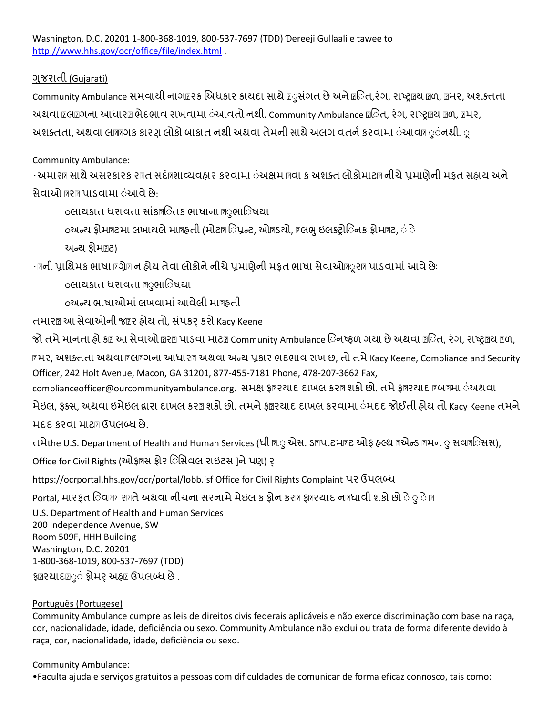Washington, D.C. 20201 1-800-368-1019, 800-537-7697 (TDD) Ɗereeji Gullaali e tawee to <http://www.hhs.gov/ocr/office/file/index.html> .

## ગજુ રાતી (Gujarati)

Community Ambulance સમવાયી નાગ@રક અિધકાર કાયદા સાથે @ુસંગત છે અને @િત,રંગ, રાષ્ટ્ર@ય @ળ, @મર, અશક્તતા અથવા Memol આધાર ભેદભાવ રાખવામા ંઆવતો નથી. Community Ambulance Mિત, રંગ, રાષ્ટ્ર ાથળ, Mનર, અશક્તતા, અથવા લ**ાગગક કારણ લોકો બાકાત નથી અથવા તેમની સા**થે અલગ વતર્ન કરવામા ંઆવા ુંનશી. ્

## Community Ambulance:

•અમાર¤ સાથે અસરકારક ર¤ત સદં¤શાવ્યવહાર કરવામા ંઅક્ષમ @વા ક અશક્ત લોકોમાટ@ નીચે પ્રમાણેની મફત સહાય અને સેવાઓ 17ર1 પાડવામા ંઆવે છે:

○લાયકાત ધરાવતા સાંકઅુતક ભાષાના ુુભાઅુષયા

<u>િ</u>અન્ય ફોમ@ટમા લખાયલે મા@ફતી (મોટ@િપ્રન્ટ, ઓ@ડયો, @લભુ ઇલક્ટ્રોિનક ફોમ@ટ, ંે

િન્ય ફોમટ)

∙ણની પ્રાશિમક ભાષા ણગ્રેણ ન હોય તેવા લોકોને નીચે પ્રમાણેની મફત ભાષા સેવાઓણૂરણ પાડવામાં આવે છેઃ

○લાયકાત ધરાવતા ુુભાઅુષયા

○િન્ય ભાષાઓમાંલખવામાંઆવેલી માહતી

તમાર¤ આ સેવાઓની જ®ર હોય તો, સંપકર કરો Kacy Keene

જો તમે માનતા હો ક¤ આ સેવાઓ ર શ પાડવા માટ¤ Community Ambulance િનષ્ફળ ગયા છે અથવા ™િત, રંગ, રાષ્ટ્ર¤ય ™વા,

**ामर, અશક્તતા અથવા nem**ગના આધારા અથવા અન્ય પ્રકાર ભદભાવ રાખ છ, તો તમે Kacy Keene, Compliance and Security Officer, 242 Holt Avenue, Macon, GA 31201, 877-455-7181 Phone, 478-207-3662 Fax,

complianceofficer@ourcommunityambulance.org. સમક્ષ ફ®રચાદ દાખલ કર® શકો છો. તમે ફ®રચાદ ®બ®મા ંઅથવા

મેઇલ, ફક્સ, અથવા ઇમેઇલ દ્વારા દાખલ કર® શકો છો. તમને ફ®રચાદ દાખલ કરવામા ંમદદ જોઈતી હોય તો Kacy Keene તમને મદદ કરવા માટા ઉપલબ્ધ છે.

તમેthe U.S. Department of Health and Human Services (ધી ⊠ુએસ. ડાયાટમાર ઓફ હલ્થ ાએન્ડ ામન ુસવાાેસિસ),

Office for Civil Rights (ઓફ¤સ ફોર િસિવલ રાઇટસ ]ને પણ) ર્

https://ocrportal.hhs.gov/ocr/portal/lobb.jsf Office for Civil Rights Complaint પર ઉપલબ્ધ

Portal, મારફત િવજ્ઞ રાજસે અથવા નીચના સરનામે મેઇલ ક ફોન કરા ફારચાદ નાહ્યાવી શકો છો ે ્ે છ

U.S. Department of Health and Human Services 200 Independence Avenue, SW Room 509F, HHH Building Washington, D.C. 20201 1-800-368-1019, 800-537-7697 (TDD) ફ©રચાદ@ું ફ્રોમર્ અહ્@ ઉપલબ્ધ છે .

### Português (Portugese)

Community Ambulance cumpre as leis de direitos civis federais aplicáveis e não exerce discriminação com base na raça, cor, nacionalidade, idade, deficiência ou sexo. Community Ambulance não exclui ou trata de forma diferente devido à raça, cor, nacionalidade, idade, deficiência ou sexo.

### Community Ambulance:

•Faculta ajuda e serviços gratuitos a pessoas com dificuldades de comunicar de forma eficaz connosco, tais como: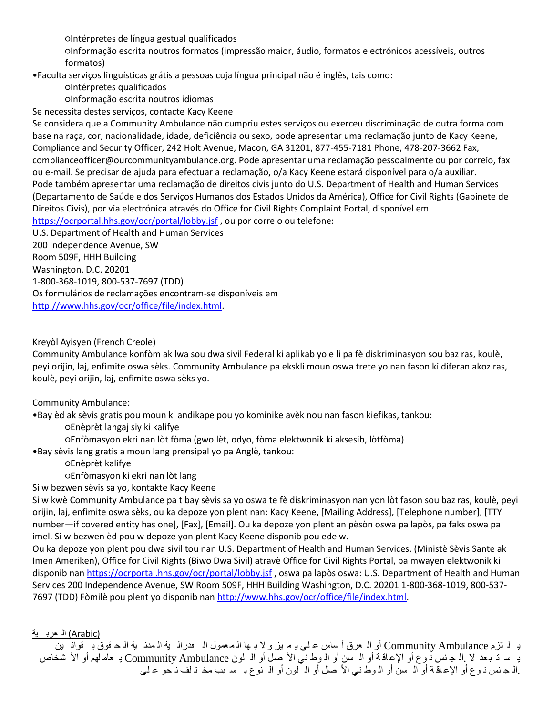○Intérpretes de língua gestual qualificados

○Informação escrita noutros formatos (impressão maior, áudio, formatos electrónicos acessíveis, outros formatos)

•Faculta serviços linguísticas grátis a pessoas cuja língua principal não é inglês, tais como:

○Intérpretes qualificados

○Informação escrita noutros idiomas

Se necessita destes serviços, contacte Kacy Keene

Se considera que a Community Ambulance não cumpriu estes serviços ou exerceu discriminação de outra forma com base na raça, cor, nacionalidade, idade, deficiência ou sexo, pode apresentar uma reclamação junto de Kacy Keene, Compliance and Security Officer, 242 Holt Avenue, Macon, GA 31201, 877-455-7181 Phone, 478-207-3662 Fax, complianceofficer@ourcommunityambulance.org. Pode apresentar uma reclamação pessoalmente ou por correio, fax ou e-mail. Se precisar de ajuda para efectuar a reclamação, o/a Kacy Keene estará disponível para o/a auxiliar. Pode também apresentar uma reclamação de direitos civis junto do U.S. Department of Health and Human Services (Departamento de Saúde e dos Serviços Humanos dos Estados Unidos da América), Office for Civil Rights (Gabinete de Direitos Civis), por via electrónica através do Office for Civil Rights Complaint Portal, disponível em <https://ocrportal.hhs.gov/ocr/portal/lobby.jsf> , ou por correio ou telefone:

U.S. Department of Health and Human Services

200 Independence Avenue, SW

Room 509F, HHH Building

Washington, D.C. 20201

1-800-368-1019, 800-537-7697 (TDD)

Os formulários de reclamações encontram-se disponíveis em

[http://www.hhs.gov/ocr/office/file/index.html.](http://www.hhs.gov/ocr/office/file/index.html)

### Kreyòl Ayisyen (French Creole)

Community Ambulance konfòm ak lwa sou dwa sivil Federal ki aplikab yo e li pa fè diskriminasyon sou baz ras, koulè, peyi orijin, laj, enfimite oswa sèks. Community Ambulance pa ekskli moun oswa trete yo nan fason ki diferan akoz ras, koulè, peyi orijin, laj, enfimite oswa sèks yo.

Community Ambulance:

•Bay èd ak sèvis gratis pou moun ki andikape pou yo kominike avèk nou nan fason kiefikas, tankou:

○Enèprèt langaj siy ki kalifye

○Enfòmasyon ekri nan lòt fòma (gwo lèt, odyo, fòma elektwonik ki aksesib, lòtfòma)

•Bay sèvis lang gratis a moun lang prensipal yo pa Anglè, tankou:

○Enèprèt kalifye

○Enfòmasyon ki ekri nan lòt lang

Si w bezwen sèvis sa yo, kontakte Kacy Keene

Si w kwè Community Ambulance pa t bay sèvis sa yo oswa te fè diskriminasyon nan yon lòt fason sou baz ras, koulè, peyi orijin, laj, enfimite oswa sèks, ou ka depoze yon plent nan: Kacy Keene, [Mailing Address], [Telephone number], [TTY number—if covered entity has one], [Fax], [Email]. Ou ka depoze yon plent an pèsòn oswa pa lapòs, pa faks oswa pa imel. Si w bezwen èd pou w depoze yon plent Kacy Keene disponib pou ede w.

Ou ka depoze yon plent pou dwa sivil tou nan U.S. Department of Health and Human Services, (Ministè Sèvis Sante ak Imen Ameriken), Office for Civil Rights (Biwo Dwa Sivil) atravè Office for Civil Rights Portal, pa mwayen elektwonik ki disponib nan<https://ocrportal.hhs.gov/ocr/portal/lobby.jsf> , oswa pa lapòs oswa: U.S. Department of Health and Human Services 200 Independence Avenue, SW Room 509F, HHH Building Washington, D.C. 20201 1-800-368-1019, 800-537- 7697 (TDD) Fòmilè pou plent yo disponib na[n http://www.hhs.gov/ocr/office/file/index.html.](http://www.hhs.gov/ocr/office/file/index.html)

### (Arabic) الـ عربـ ية

ي ل تزم Ambulance Community أو ال عرق أ ساس ع لى ي م يز و ال ب ها ال معمول ال فدرال ية ال مدن ية ال ح قوق ب قوان ين يـ سـ تـ بـعد لا .الـ جـ نس ذ وع أو الإعـاقـة أو الـ سن أو الـ وطـ نـي الأ صـل أو الـ لمون Community Ambulance يـ عام لهم أو الأ شخاص .ال ج نس ذ و ع أو الإعاقـة أو الـ سن أو الـ وط نـي الأ صل أو الـ لون أو الـ نوع بـ سـ بب مخـ تـ لف نـ حو عـ لـي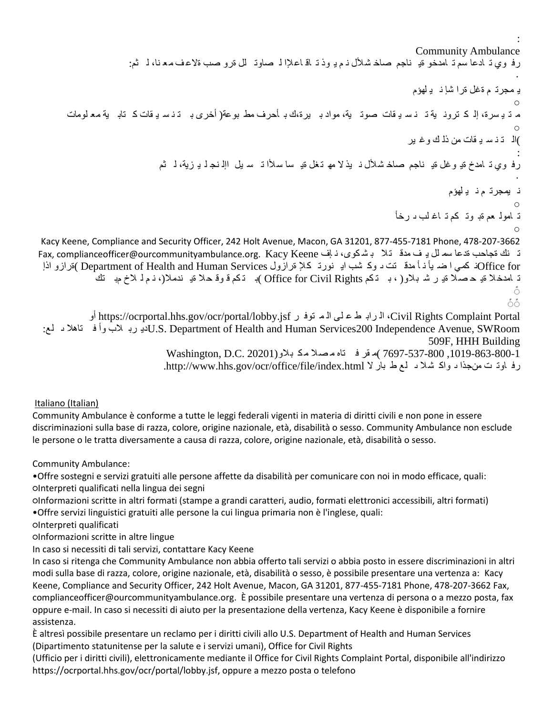: Community Ambulance رف وي تـ ادعا سَّم تـ امدخو ةيـ ناجم صاخـ شلأل نـم يـ وذ تـ اقـ اعـلإا لـ صاوتـ لل ةرو صب ةلاعـف مـعـنـا، لـ ثم: • ي مجرت م ةغل ةرا شإ ن ي لهؤم  $\circ$ م ت ي سرة، إل ك ترون ية ت ن س ي قات صوت ية، مواد ب يرة،ك ب أحرف مط بوعة( أخرى ب ت ن س ي قات ك تاب ية مع لومات  $\circ$ )ال ت ن س ي قات من ذل ك وغ ير : رف وي تـ لمدخ ةيـ و غل ةيـ ناجم صاخـ شـلأل نـ يذ لا مهـ تـغل ةيـ سا سـلأا تـ سـ يل الِه نـجـ لـ يـ زية، لـ ثم • ن يمجرت م ن ي لهؤم  $\circ$ ت امول عم ةب وت كم ت اغ لب ى رخأ  $\circ$ Kacy Keene, Compliance and Security Officer, 242 Holt Avenue, Macon, GA 31201, 877-455-7181 Phone, 478-207-3662 ت نك مجاحب ةدعا سم لل يـ ف مدق تـلا بـ شـكوى، نـ باف Fax, complianceofficer@ourcommunityambulance.org. Kacy Keene for Officeن كمي ا ض يأ ن أ مدق تت ى وك شب اي نورت كإل ةرازول Services Human and Health of Department( ةرازو اذإ ت امدخلا قيـ حـصـلا ةيـ ر شـ بـلاو( ، بـ تـكم Office for Civil Rights )بـ تـكم قـوقـ حـلا قيـ ندملا(، نـم لـ لاخ مبـ تك Ő. δδ أو https://ocrportal.hhs.gov/ocr/portal/lobby.jsf ر توف م ال لى ع ط راب ال ،Civil Rights Complaint Portal :لع ى تاهال ف وأ الب رب ديU.S. Department of Health and Human Services200 Independence Avenue, SWRoom

509F, HHH Building ,1019-863-800-1 7697-537-800 )م قر ف تاه م صال مك بالو(20201 .C.D ,Washington رف اوت ت منجذا د واك شلا د لمع ط بار لا http://www.hhs.gov/ocr/office/file/index.html.

### Italiano (Italian)

Community Ambulance è conforme a tutte le leggi federali vigenti in materia di diritti civili e non pone in essere discriminazioni sulla base di razza, colore, origine nazionale, età, disabilità o sesso. Community Ambulance non esclude le persone o le tratta diversamente a causa di razza, colore, origine nazionale, età, disabilità o sesso.

Community Ambulance:

•Offre sostegni e servizi gratuiti alle persone affette da disabilità per comunicare con noi in modo efficace, quali: ○Interpreti qualificati nella lingua dei segni

○Informazioni scritte in altri formati (stampe a grandi caratteri, audio, formati elettronici accessibili, altri formati) •Offre servizi linguistici gratuiti alle persone la cui lingua primaria non è l'inglese, quali:

○Interpreti qualificati

○Informazioni scritte in altre lingue

In caso si necessiti di tali servizi, contattare Kacy Keene

In caso si ritenga che Community Ambulance non abbia offerto tali servizi o abbia posto in essere discriminazioni in altri modi sulla base di razza, colore, origine nazionale, età, disabilità o sesso, è possibile presentare una vertenza a: Kacy Keene, Compliance and Security Officer, 242 Holt Avenue, Macon, GA 31201, 877-455-7181 Phone, 478-207-3662 Fax, complianceofficer@ourcommunityambulance.org. È possibile presentare una vertenza di persona o a mezzo posta, fax oppure e-mail. In caso si necessiti di aiuto per la presentazione della vertenza, Kacy Keene è disponibile a fornire assistenza.

È altresì possibile presentare un reclamo per i diritti civili allo U.S. Department of Health and Human Services (Dipartimento statunitense per la salute e i servizi umani), Office for Civil Rights

(Ufficio per i diritti civili), elettronicamente mediante il Office for Civil Rights Complaint Portal, disponibile all'indirizzo https://ocrportal.hhs.gov/ocr/portal/lobby.jsf, oppure a mezzo posta o telefono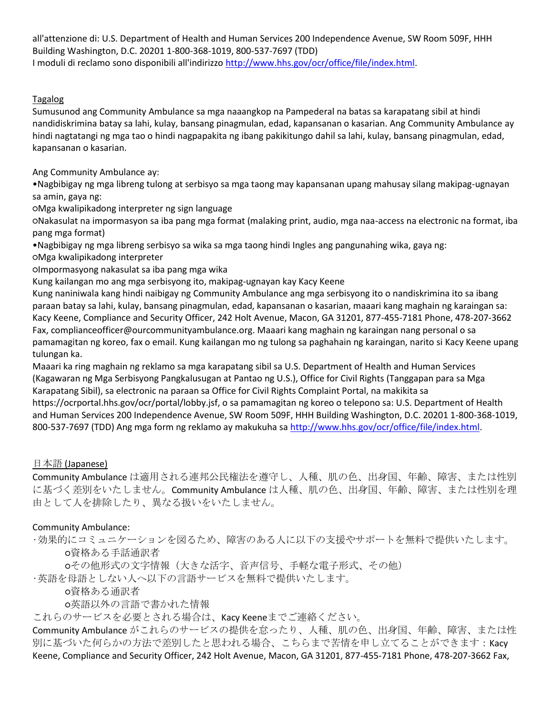all'attenzione di: U.S. Department of Health and Human Services 200 Independence Avenue, SW Room 509F, HHH Building Washington, D.C. 20201 1-800-368-1019, 800-537-7697 (TDD) I moduli di reclamo sono disponibili all'indirizzo [http://www.hhs.gov/ocr/office/file/index.html.](http://www.hhs.gov/ocr/office/file/index.html)

### Tagalog

Sumusunod ang Community Ambulance sa mga naaangkop na Pampederal na batas sa karapatang sibil at hindi nandidiskrimina batay sa lahi, kulay, bansang pinagmulan, edad, kapansanan o kasarian. Ang Community Ambulance ay hindi nagtatangi ng mga tao o hindi nagpapakita ng ibang pakikitungo dahil sa lahi, kulay, bansang pinagmulan, edad, kapansanan o kasarian.

Ang Community Ambulance ay:

•Nagbibigay ng mga libreng tulong at serbisyo sa mga taong may kapansanan upang mahusay silang makipag-ugnayan sa amin, gaya ng:

○Mga kwalipikadong interpreter ng sign language

○Nakasulat na impormasyon sa iba pang mga format (malaking print, audio, mga naa-access na electronic na format, iba pang mga format)

•Nagbibigay ng mga libreng serbisyo sa wika sa mga taong hindi Ingles ang pangunahing wika, gaya ng:

○Mga kwalipikadong interpreter

○Impormasyong nakasulat sa iba pang mga wika

Kung kailangan mo ang mga serbisyong ito, makipag-ugnayan kay Kacy Keene

Kung naniniwala kang hindi naibigay ng Community Ambulance ang mga serbisyong ito o nandiskrimina ito sa ibang paraan batay sa lahi, kulay, bansang pinagmulan, edad, kapansanan o kasarian, maaari kang maghain ng karaingan sa: Kacy Keene, Compliance and Security Officer, 242 Holt Avenue, Macon, GA 31201, 877-455-7181 Phone, 478-207-3662 Fax, complianceofficer@ourcommunityambulance.org. Maaari kang maghain ng karaingan nang personal o sa pamamagitan ng koreo, fax o email. Kung kailangan mo ng tulong sa paghahain ng karaingan, narito si Kacy Keene upang tulungan ka.

Maaari ka ring maghain ng reklamo sa mga karapatang sibil sa U.S. Department of Health and Human Services (Kagawaran ng Mga Serbisyong Pangkalusugan at Pantao ng U.S.), Office for Civil Rights (Tanggapan para sa Mga Karapatang Sibil), sa electronic na paraan sa Office for Civil Rights Complaint Portal, na makikita sa https://ocrportal.hhs.gov/ocr/portal/lobby.jsf, o sa pamamagitan ng koreo o telepono sa: U.S. Department of Health and Human Services 200 Independence Avenue, SW Room 509F, HHH Building Washington, D.C. 20201 1-800-368-1019, 800-537-7697 (TDD) Ang mga form ng reklamo ay makukuha sa [http://www.hhs.gov/ocr/office/file/index.html.](http://www.hhs.gov/ocr/office/file/index.html)

### 日本語 (Japanese)

Community Ambulance は適用される連邦公民権法を遵守し、人種、肌の色、出身国、年齢、障害、または性別 に基づく差別をいたしません。Community Ambulance は人種、肌の色、出身国、年齢、障害、または性別を理 由として人を排除したり、異なる扱いをいたしません。

### Community Ambulance:

•効果的にコミュニケーションを図るため、障害のある人に以下の支援やサポートを無料で提供いたします。 ○資格ある手話通訳者

○その他形式の文字情報(大きな活字、音声信号、手軽な電子形式、その他)

•英語を母語としない人へ以下の言語サービスを無料で提供いたします。

○資格ある通訳者

○英語以外の言語で書かれた情報

これらのサービスを必要とされる場合は、Kacy Keeneまでご連絡ください。

Community Ambulance がこれらのサービスの提供を怠ったり、人種、肌の色、出身国、年齢、障害、または性 別に基づいた何らかの方法で差別したと思われる場合、こちらまで苦情を申し立てることができます:Kacy Keene, Compliance and Security Officer, 242 Holt Avenue, Macon, GA 31201, 877-455-7181 Phone, 478-207-3662 Fax,